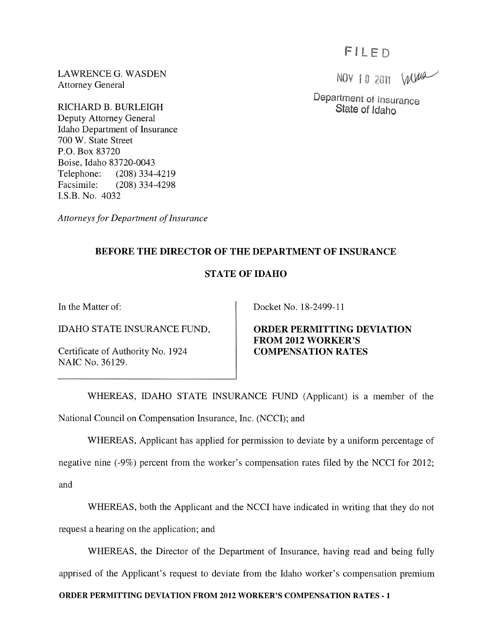FILED

Department of Insurance State of Idaho

NOV 10 2011 Wurd

LAWRENCE G. WASDEN Attorney General

RICHARD B. BURLEIGH Deputy Attorney General Idaho Department of Insurance 700 W. State Street P.O. Box 83720 Boise, Idaho 83720-0043 Telephone: (208) 334-4219 Facsimile: (208) 334-4298 LS.B. No. 4032

*Attorneys for Department of Insurance* 

## BEFORE THE DIRECTOR OF THE DEPARTMENT OF INSURANCE

## STATE OF IDAHO

In the Matter of:

IDAHO STATE INSURANCE FUND,

Certificate of Authority No. 1924 NAIC No. 36129.

Docket No. 18-2499-11

ORDER PERMITTING DEVIATION FROM 2012 WORKER'S COMPENSATION RATES

WHEREAS, IDAHO STATE INSURANCE FUND (Applicant) is a member of the National Council on Compensation Insurance, Inc. (NCCI); and

WHEREAS, Applicant has applied for permission to deviate by a uniform percentage of

negative nine (-9%) percent from the worker's compensation rates filed by the NCCI for 2012; and

WHEREAS, both the Applicant and the NCCI have indicated in writing that they do not request a hearing on the application; and

WHEREAS, the Director of the Department of Insurance, having read and being fully apprised of the Applicant's request to deviate from the Idaho worker's compensation premium

ORDER PERMITTING DEVIATION FROM 2012 WORKER'S COMPENSATION RATES - 1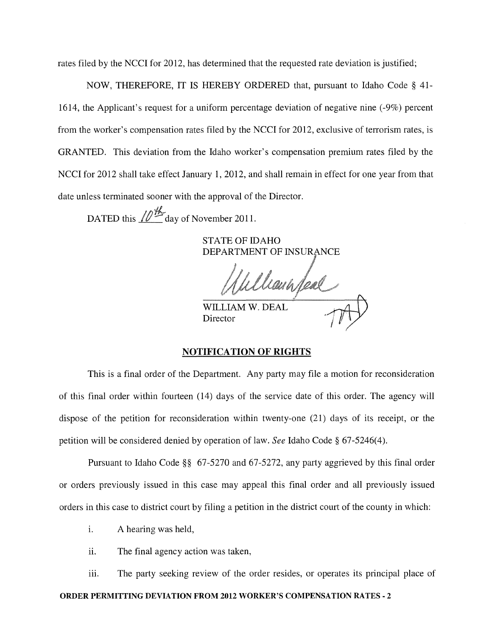rates filed by the NCCI for 2012, has determined that the requested rate deviation is justified;

NOW, THEREFORE, IT IS HEREBY ORDERED that, pursuant to Idaho Code § 41- 1614, the Applicant's request for a uniform percentage deviation of negative nine (-9%) percent from the worker's compensation rates filed by the NCCI for 2012, exclusive of terrorism rates, is GRANTED. This deviation from the Idaho worker's compensation premium rates filed by the NCCI for 2012 shall take effect January 1, 2012, and shall remain in effect for one year from that date unless terminated sooner with the approval of the Director.

DATED this  $\sqrt{N+1}$  day of November 2011.

STATE OF IDAHO DEPARTMENT OF INSURANCE

lanin feal

WILLIAM W. DEAL Director

## NOTIFICATION OF RIGHTS

This is a final order of the Department. Any party may file a motion for reconsideration of this final order within fourteen (14) days of the service date of this order. The agency will dispose of the petition for reconsideration within twenty-one (21) days of its receipt, or the petition will be considered denied by operation of law. *See* Idaho Code § 67-5246(4).

Pursuant to Idaho Code §§ 67-5270 and 67-5272, any party aggrieved by this final order or orders previously issued in this case may appeal this final order and all previously issued orders in this case to district court by filing a petition in the district court of the county in which:

i. A hearing was held,

ii. The final agency action was taken,

iii. The party seeking review of the order resides, or operates its principal place of